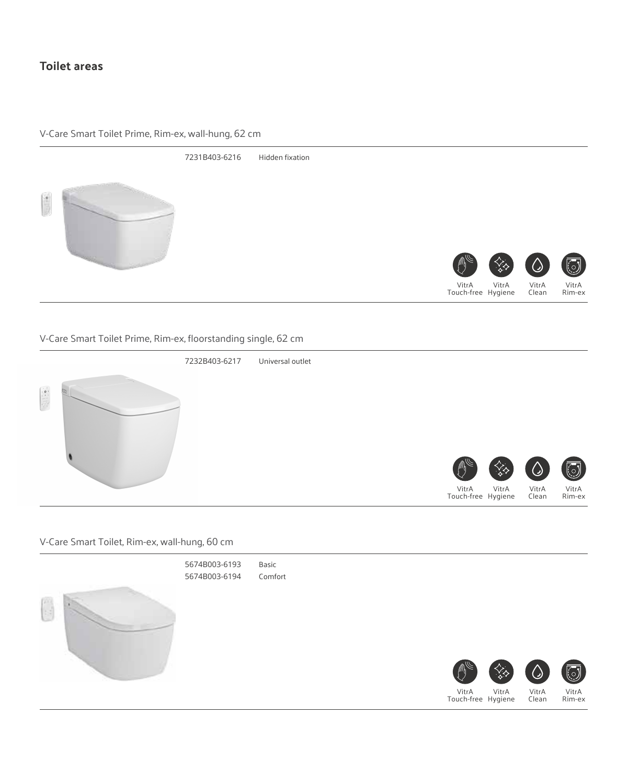# **Toilet areas**

V-Care Smart Toilet Prime, Rim-ex, wall-hung, 62 cm



## V-Care Smart Toilet Prime, Rim-ex, floorstanding single, 62 cm



#### V-Care Smart Toilet, Rim-ex, wall-hung, 60 cm



Touch-free Hygiene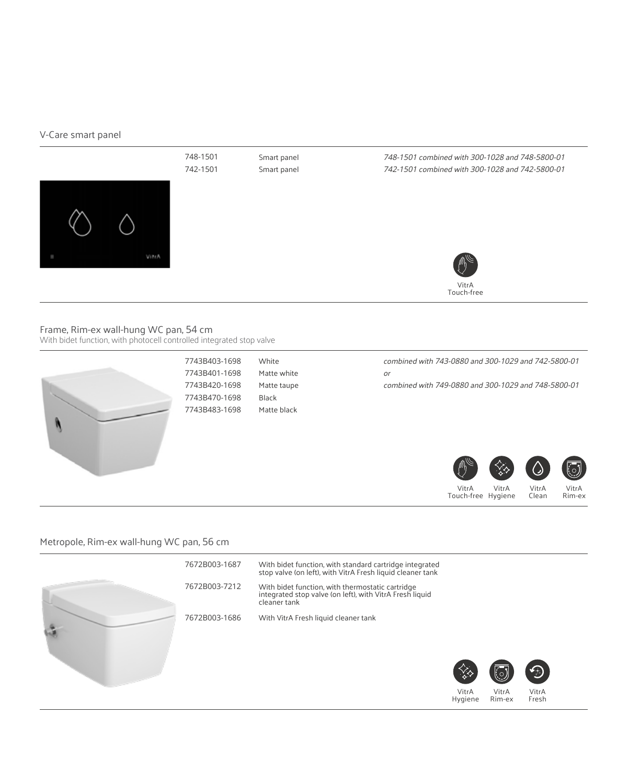#### V-Care smart panel



#### Frame, Rim-ex wall-hung WC pan, 54 cm With bidet function, with photocell controlled integrated stop valve



7743B403-1698 7743B401-1698 7743B420-1698 7743B470-1698 7743B483-1698 White Matte white Matte taupe Black Matte black

combined with 743-0880 and 300-1029 and 742-5800-01 or

combined with 749-0880 and 300-1029 and 748-5800-01





VitrA Clean

Touch-free Hygiene

VitrA Rim-ex

#### Metropole, Rim-ex wall-hung WC pan, 56 cm

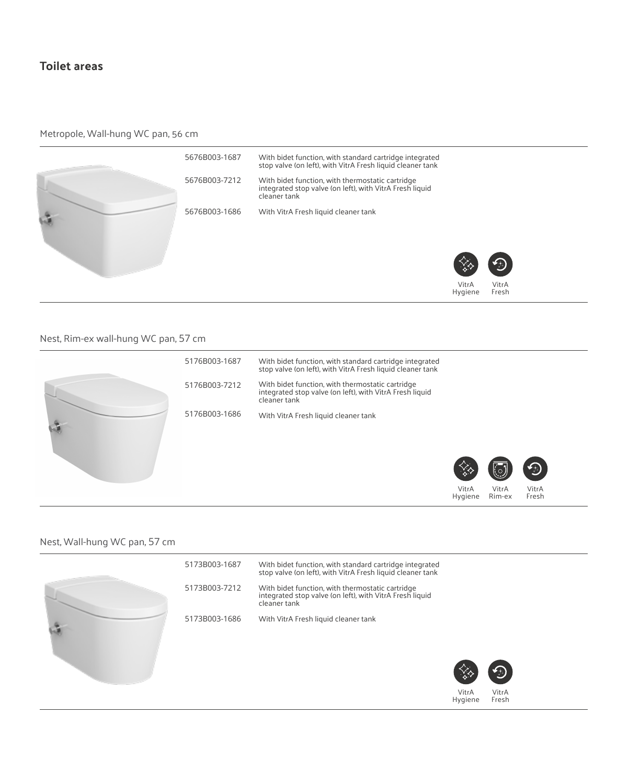# **Toilet areas**

## Metropole, Wall-hung WC pan, 56 cm



## Nest, Rim-ex wall-hung WC pan, 57 cm



#### Nest, Wall-hung WC pan, 57 cm

|  | 5173B003-1687 | With bidet function, with standard cartridge integrated<br>stop valve (on left), with VitrA Fresh liquid cleaner tank        |                  |                |
|--|---------------|------------------------------------------------------------------------------------------------------------------------------|------------------|----------------|
|  | 5173B003-7212 | With bidet function, with thermostatic cartridge<br>integrated stop valve (on left), with VitrA Fresh liquid<br>cleaner tank |                  |                |
|  | 5173B003-1686 | With VitrA Fresh liquid cleaner tank                                                                                         |                  |                |
|  |               |                                                                                                                              |                  | $\bigoplus$    |
|  |               |                                                                                                                              | VitrA<br>Hygiene | VitrA<br>Fresh |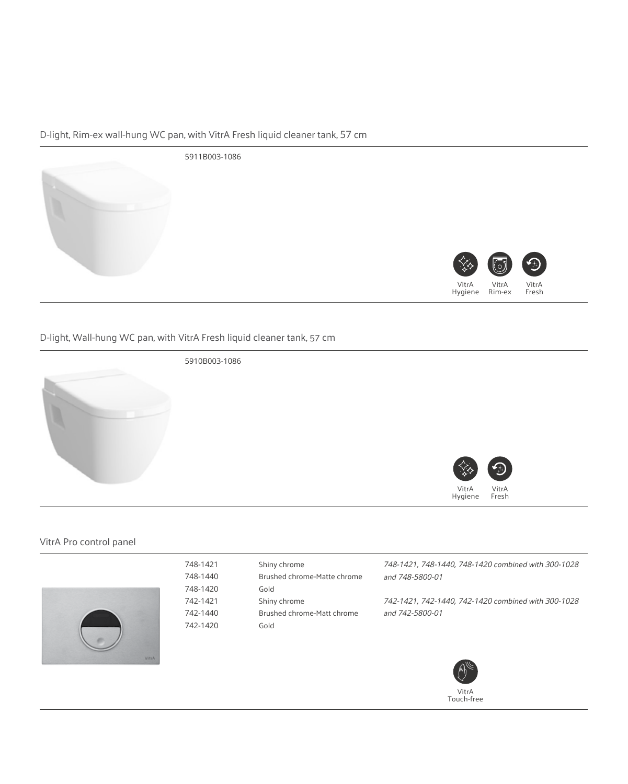# D-light, Rim-ex wall-hung WC pan, with VitrA Fresh liquid cleaner tank, 57 cm



## D-light, Wall-hung WC pan, with VitrA Fresh liquid cleaner tank, 57 cm



5910B003-1086

748-1421 748-1440 748-1420 742-1421 742-1440 742-1420



#### VitrA Pro control panel



Shiny chrome Brushed chrome-Matte chrome Gold Shiny chrome Brushed chrome-Matt chrome Gold

748-1421, 748-1440, 748-1420 combined with 300-1028 and 748-5800-01

742-1421, 742-1440, 742-1420 combined with 300-1028 and 742-5800-01